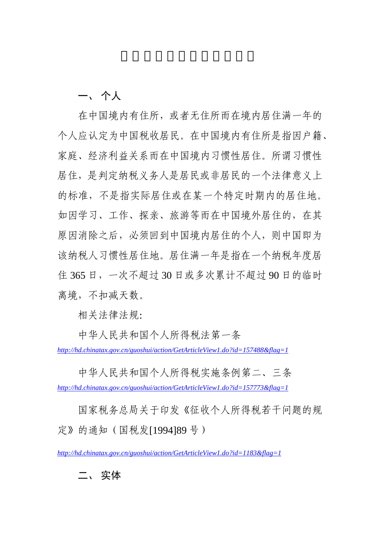一、 个人

在中国境内有住所,或者无住所而在境内居住满一年的 个人应认定为中国税收居民。在中国境内有住所是指因户籍、 家庭、经济利益关系而在中国境内习惯性居住。所谓习惯性 居住,是判定纳税义务人是居民或非居民的一个法律意义上 的标准,不是指实际居住或在某一个特定时期内的居住地。 如因学习、工作、探亲、旅游等而在中国境外居住的,在其 原因消除之后,必须回到中国境内居住的个人,则中国即为 该纳税人习惯性居住地。居住满一年是指在一个纳税年度居 住 365 日,一次不超过 30 日或多次累计不超过 90 日的临时 离境,不扣减天数。

相关法律法规:

中华人民共和国个人所得税法第一条

*http://hd.chinatax.gov.cn/guoshui/action/GetArticleView1.do?id=157488&flag=1*

中华人民共和国个人所得税实施条例第二、三条 *http://hd.chinatax.gov.cn/guoshui/action/GetArticleView1.do?id=157773&flag=1* 

国家税务总局关于印发《征收个人所得税若干问题的规 定》的通知(国税发[1994]89 号)

*http://hd.chinatax.gov.cn/guoshui/action/GetArticleView1.do?id=1183&flag=1* 

## 二、 实体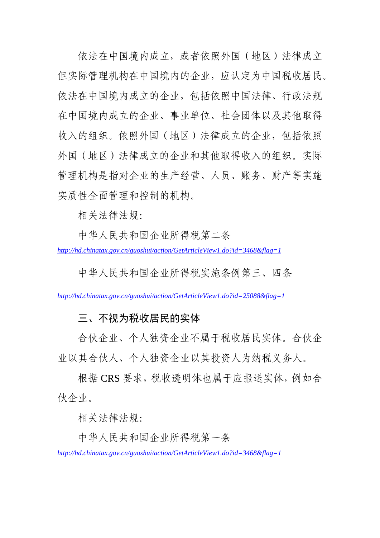依法在中国境内成立,或者依照外国(地区)法律成立 但实际管理机构在中国境内的企业,应认定为中国税收居民。 依法在中国境内成立的企业,包括依照中国法律、行政法规 在中国境内成立的企业、事业单位、社会团体以及其他取得 收入的组织。依照外国(地区)法律成立的企业, 包括依照 外国(地区)法律成立的企业和其他取得收入的组织。实际 管理机构是指对企业的生产经营、人员、账务、财产等实施 实质性全面管理和控制的机构。

相关法律法规:

中华人民共和国企业所得税第二条 *http://hd.chinatax.gov.cn/guoshui/action/GetArticleView1.do?id=3468&flag=1* 

中华人民共和国企业所得税实施条例第三、四条

*http://hd.chinatax.gov.cn/guoshui/action/GetArticleView1.do?id=25088&flag=1*

## 三、不视为税收居民的实体

合伙企业、个人独资企业不属于税收居民实体。合伙企 业以其合伙人、个人独资企业以其投资人为纳税义务人。

根据 CRS 要求, 税收透明体也属于应报送实体, 例如合 伙企业。

相关法律法规:

中华人民共和国企业所得税第一条 *http://hd.chinatax.gov.cn/guoshui/action/GetArticleView1.do?id=3468&flag=1*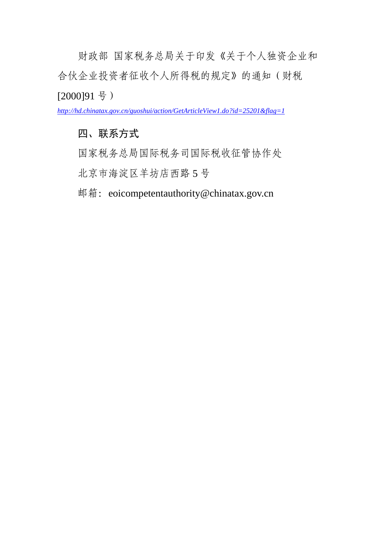财政部 国家税务总局关于印发《关于个人独资企业和 合伙企业投资者征收个人所得税的规定》的通知(财税 [2000]91 号)

*http://hd.chinatax.gov.cn/guoshui/action/GetArticleView1.do?id=25201&flag=1*

# 四、联系方式

国家税务总局国际税务司国际税收征管协作处

北京市海淀区羊坊店西路 5 号

邮箱: eoicompetentauthority@chinatax.gov.cn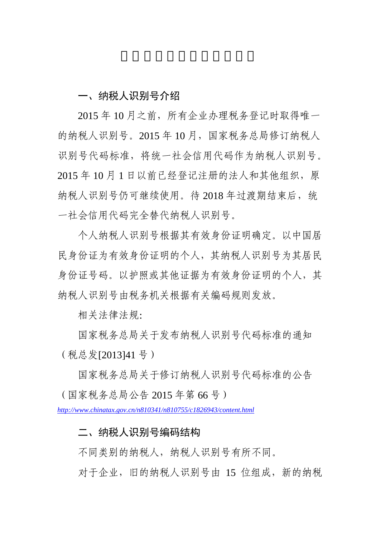# 一、纳税人识别号介绍

 2015 年 10 月之前,所有企业办理税务登记时取得唯一 的纳税人识别号。2015年10月,国家税务总局修订纳税人 识别号代码标准,将统一社会信用代码作为纳税人识别号。 2015 年 10 月 1 日以前已经登记注册的法人和其他组织,原 纳税人识别号仍可继续使用。待 2018 年过渡期结束后, 统 一社会信用代码完全替代纳税人识别号。

个人纳税人识别号根据其有效身份证明确定。以中国居 民身份证为有效身份证明的个人,其纳税人识别号为其居民 身份证号码。以护照或其他证据为有效身份证明的个人,其 纳税人识别号由税务机关根据有关编码规则发放。

相关法律法规:

国家税务总局关于发布纳税人识别号代码标准的通知 (税总发[2013]41 号)

国家税务总局关于修订纳税人识别号代码标准的公告 (国家税务总局公告 2015 年第 66 号)

*http://www.chinatax.gov.cn/n810341/n810755/c1826943/content.html*

# 二、纳税人识别号编码结构

不同类别的纳税人,纳税人识别号有所不同。

对于企业,旧的纳税人识别号由 15 位组成,新的纳税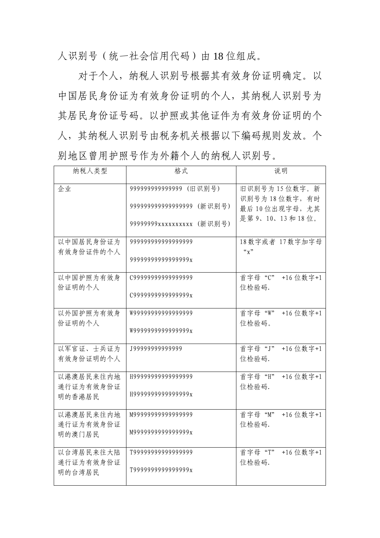人识别号(统一社会信用代码)由 18 位组成。

对于个人,纳税人识别号根据其有效身份证明确定。以 中国居民身份证为有效身份证明的个人,其纳税人识别号为 其居民身份证号码。以护照或其他证件为有效身份证明的个 人,其纳税人识别号由税务机关根据以下编码规则发放。个 别地区曾用护照号作为外籍个人的纳税人识别号。

| 纳税人类型                  | 格式                         | 说明                                              |
|------------------------|----------------------------|-------------------------------------------------|
| 企业                     | 999999999999999 (旧识别号)     | 旧识别号为15位数字。新<br>识别号为18位数字,有时                    |
|                        | 999999999999999999 (新识别号)  | 最后10位出现字母,尤其<br>是第9、10、13和18位。                  |
|                        | 999999999xxxxxxxxxx (新识别号) |                                                 |
| 以中国居民身份证为<br>有效身份证件的个人 | 99999999999999999          | 18数字或者 17数字加字母<br>$\alpha$ $\chi$ <sup>22</sup> |
|                        | 99999999999999999x         |                                                 |
| 以中国护照为有效身<br>份证明的个人    | C99999999999999999         | 首字母 "C"<br>+16 位数字+1<br>位检验码.                   |
|                        | C9999999999999998x         |                                                 |
| 以外国护照为有效身<br>份证明的个人    | W9999999999999999          | 首字母"W"<br>+16 位数字+1<br>位检验码。                    |
|                        | W999999999999999x          |                                                 |
| 以军官证、士兵证为<br>有效身份证明的个人 | J9999999999999             | 首字母"J"<br>+16 位数字+1<br>位检验码.                    |
| 以港澳居民来往内地              | H9999999999999999          | 首字母"H"<br>+16 位数字+1                             |
| 通行证为有效身份证<br>明的香港居民    | H999999999999999x          | 位检验码.                                           |
|                        |                            |                                                 |
| 以港澳居民来往内地<br>通行证为有效身份证 | M99999999999999999         | 首字母"M"<br>+16 位数字+1<br>位检验码.                    |
| 明的澳门居民                 | M999999999999999x          |                                                 |
| 以台湾居民来往大陆<br>通行证为有效身份证 | T99999999999999999         | 首字母"T"<br>+16 位数字+1<br>位检验码.                    |
| 明的台湾居民                 | T999999999999999x          |                                                 |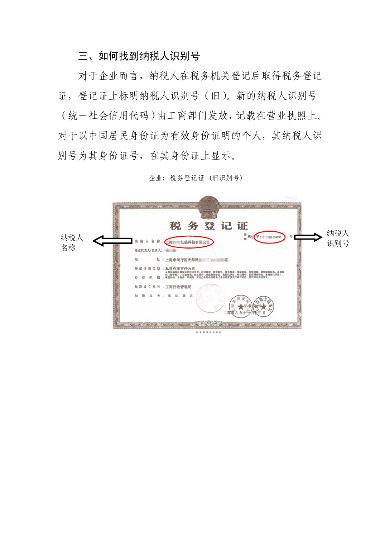# 三、如何找到纳税人识别号

对于企业而言,纳税人在税务机关登记后取得税务登记 证,登记证上标明纳税人识别号(旧)。新的纳税人识别号 (统一社会信用代码)由工商部门发放,记载在营业执照上。 对于以中国居民身份证为有效身份证明的个人,其纳税人识 别号为其身份证号,在其身份证上显示。

|     | 税务登记证                                                                                                                                                    | 纳税人 |
|-----|----------------------------------------------------------------------------------------------------------------------------------------------------------|-----|
| 纳税人 | ш<br>믃<br>税济<br>字 310112眼 034491<br>地<br>税人名                                                                                                             |     |
| 名称  | 包装科技有限公司                                                                                                                                                 | 识别号 |
|     | 法定代表人(负责人): (共)                                                                                                                                          |     |
|     | 地<br>址:上海市闵行区光华路 2001                                                                                                                                    |     |
|     | 登记注册类型:私营有限责任公司                                                                                                                                          |     |
|     | 从事包装料技领域内的技术开发、技术咨询、技术转让、技术服务,包装材料、包装机械、建筑装填材料、金属材<br>料(能专控)、五金交流、化工原料(能危险化学品、直控化学品、调花爆竹、民用爆炸物品、暑润得化学品)、<br>推塑制品、木制品、纸制品、文化办公用品的销售【企业是普涉及行政许可的,凭许可证件是普】。 |     |
|     | 批准设立机关:工商行政管理局                                                                                                                                           |     |
|     | 定                                                                                                                                                        |     |
|     |                                                                                                                                                          |     |
|     | 国家股务总局监制                                                                                                                                                 |     |

企业: 税务登记证 (旧识别号)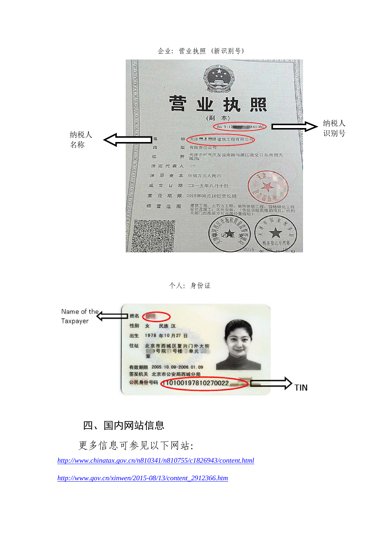

#### 个人:身份证



# 四、国内网站信息

更多信息可参见以下网站:

*http://www.chinatax.gov.cn/n810341/n810755/c1826943/content.html*

*http://www.gov.cn/xinwen/2015-08/13/content\_2912366.htm*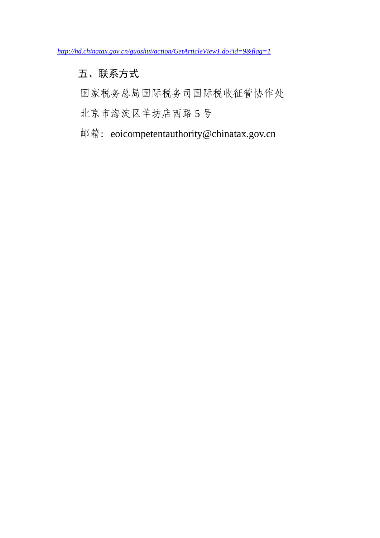*http://hd.chinatax.gov.cn/guoshui/action/GetArticleView1.do?id=9&flag=1*

# 五、联系方式

国家税务总局国际税务司国际税收征管协作处

北京市海淀区羊坊店西路 5 号

邮箱: eoicompetentauthority@chinatax.gov.cn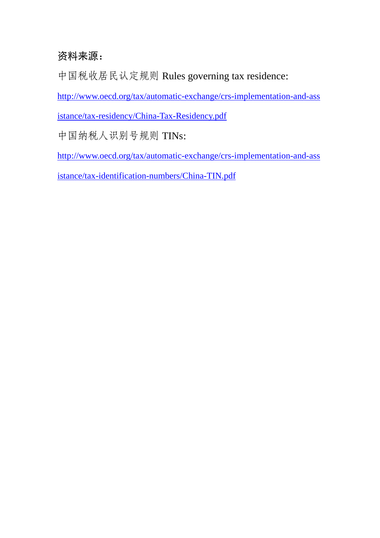# 资料来源:

中国税收居民认定规则 Rules governing tax residence:

http://www.oecd.org/tax/automatic-exchange/crs-implementation-and-ass

istance/tax-residency/China-Tax-Residency.pdf

中国纳税人识别号规则 TINs:

http://www.oecd.org/tax/automatic-exchange/crs-implementation-and-ass

istance/tax-identification-numbers/China-TIN.pdf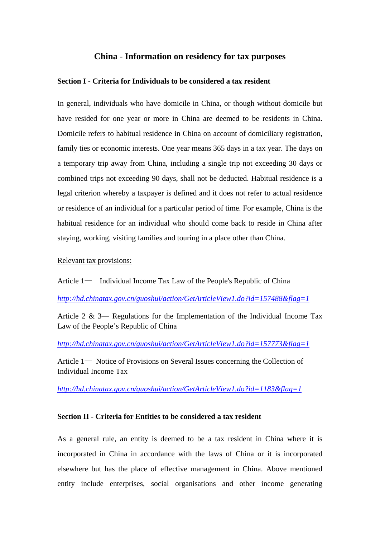## **China - Information on residency for tax purposes**

#### **Section I - Criteria for Individuals to be considered a tax resident**

In general, individuals who have domicile in China, or though without domicile but have resided for one year or more in China are deemed to be residents in China. Domicile refers to habitual residence in China on account of domiciliary registration, family ties or economic interests. One year means 365 days in a tax year. The days on a temporary trip away from China, including a single trip not exceeding 30 days or combined trips not exceeding 90 days, shall not be deducted. Habitual residence is a legal criterion whereby a taxpayer is defined and it does not refer to actual residence or residence of an individual for a particular period of time. For example, China is the habitual residence for an individual who should come back to reside in China after staying, working, visiting families and touring in a place other than China.

#### Relevant tax provisions:

Article 1— Individual Income Tax Law of the People's Republic of China

#### *http://hd.chinatax.gov.cn/guoshui/action/GetArticleView1.do?id=157488&flag=1*

Article 2 & 3— Regulations for the Implementation of the Individual Income Tax Law of the People's Republic of China

*http://hd.chinatax.gov.cn/guoshui/action/GetArticleView1.do?id=157773&flag=1*

Article 1— Notice of Provisions on Several Issues concerning the Collection of Individual Income Tax

#### *http://hd.chinatax.gov.cn/guoshui/action/GetArticleView1.do?id=1183&flag=1*

#### **Section II - Criteria for Entities to be considered a tax resident**

As a general rule, an entity is deemed to be a tax resident in China where it is incorporated in China in accordance with the laws of China or it is incorporated elsewhere but has the place of effective management in China. Above mentioned entity include enterprises, social organisations and other income generating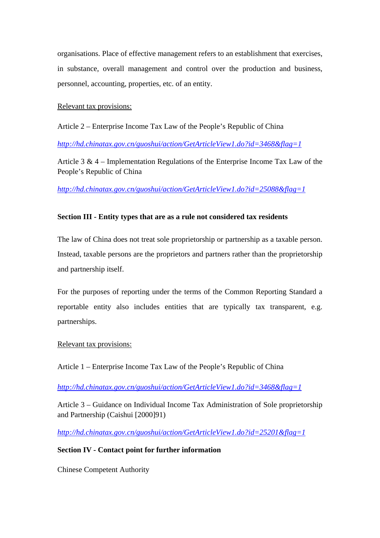organisations. Place of effective management refers to an establishment that exercises, in substance, overall management and control over the production and business, personnel, accounting, properties, etc. of an entity.

Relevant tax provisions:

Article 2 – Enterprise Income Tax Law of the People's Republic of China

*http://hd.chinatax.gov.cn/guoshui/action/GetArticleView1.do?id=3468&flag=1*

Article 3 & 4 – Implementation Regulations of the Enterprise Income Tax Law of the People's Republic of China

*http://hd.chinatax.gov.cn/guoshui/action/GetArticleView1.do?id=25088&flag=1*

## **Section III - Entity types that are as a rule not considered tax residents**

The law of China does not treat sole proprietorship or partnership as a taxable person. Instead, taxable persons are the proprietors and partners rather than the proprietorship and partnership itself.

For the purposes of reporting under the terms of the Common Reporting Standard a reportable entity also includes entities that are typically tax transparent, e.g. partnerships.

## Relevant tax provisions:

Article 1 – Enterprise Income Tax Law of the People's Republic of China

*http://hd.chinatax.gov.cn/guoshui/action/GetArticleView1.do?id=3468&flag=1*

Article 3 – Guidance on Individual Income Tax Administration of Sole proprietorship and Partnership (Caishui [2000]91)

*http://hd.chinatax.gov.cn/guoshui/action/GetArticleView1.do?id=25201&flag=1*

## **Section IV - Contact point for further information**

Chinese Competent Authority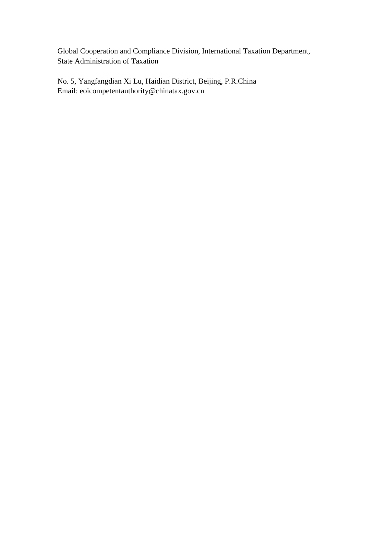Global Cooperation and Compliance Division, International Taxation Department, State Administration of Taxation

No. 5, Yangfangdian Xi Lu, Haidian District, Beijing, P.R.China Email: eoicompetentauthority@chinatax.gov.cn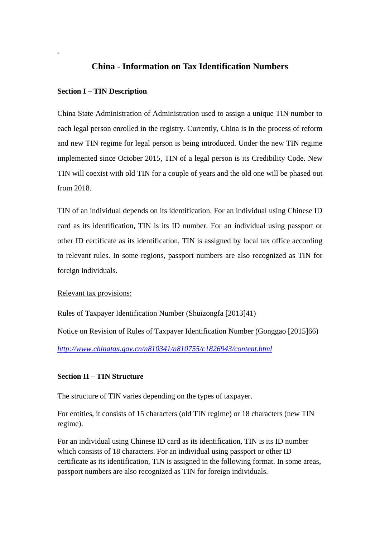## **China - Information on Tax Identification Numbers**

#### **Section I – TIN Description**

.

China State Administration of Administration used to assign a unique TIN number to each legal person enrolled in the registry. Currently, China is in the process of reform and new TIN regime for legal person is being introduced. Under the new TIN regime implemented since October 2015, TIN of a legal person is its Credibility Code. New TIN will coexist with old TIN for a couple of years and the old one will be phased out from 2018.

TIN of an individual depends on its identification. For an individual using Chinese ID card as its identification, TIN is its ID number. For an individual using passport or other ID certificate as its identification, TIN is assigned by local tax office according to relevant rules. In some regions, passport numbers are also recognized as TIN for foreign individuals.

#### Relevant tax provisions:

Rules of Taxpayer Identification Number (Shuizongfa [2013]41) Notice on Revision of Rules of Taxpayer Identification Number (Gonggao [2015]66) *http://www.chinatax.gov.cn/n810341/n810755/c1826943/content.html*

#### **Section II – TIN Structure**

The structure of TIN varies depending on the types of taxpayer.

For entities, it consists of 15 characters (old TIN regime) or 18 characters (new TIN regime).

For an individual using Chinese ID card as its identification, TIN is its ID number which consists of 18 characters. For an individual using passport or other ID certificate as its identification, TIN is assigned in the following format. In some areas, passport numbers are also recognized as TIN for foreign individuals.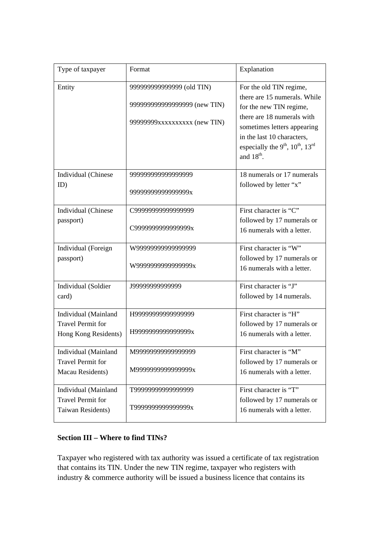| Type of taxpayer         | Format                       | Explanation                                                          |
|--------------------------|------------------------------|----------------------------------------------------------------------|
| Entity                   | 99999999999999 (old TIN)     | For the old TIN regime,                                              |
|                          | 999999999999999999 (new TIN) | there are 15 numerals. While                                         |
|                          |                              | for the new TIN regime,<br>there are 18 numerals with                |
|                          | 99999999xxxxxxxxxx (new TIN) | sometimes letters appearing                                          |
|                          |                              | in the last 10 characters,                                           |
|                          |                              | especially the 9 <sup>th</sup> , 10 <sup>th</sup> , 13 <sup>rd</sup> |
|                          |                              | and 18 <sup>th</sup> .                                               |
| Individual (Chinese      | 999999999999999999           | 18 numerals or 17 numerals                                           |
| ID)                      | 99999999999999999x           | followed by letter "x"                                               |
|                          |                              |                                                                      |
| Individual (Chinese      | C99999999999999999           | First character is "C"                                               |
| passport)                | C9999999999999999x           | followed by 17 numerals or                                           |
|                          |                              | 16 numerals with a letter.                                           |
| Individual (Foreign      | W9999999999999999            | First character is "W"                                               |
| passport)                | W9999999999999999x           | followed by 17 numerals or                                           |
|                          |                              | 16 numerals with a letter.                                           |
| Individual (Soldier      | J9999999999999               | First character is "J"                                               |
| card)                    |                              | followed by 14 numerals.                                             |
| Individual (Mainland     | H9999999999999999            | First character is "H"                                               |
| <b>Travel Permit for</b> |                              | followed by 17 numerals or                                           |
| Hong Kong Residents)     | H9999999999999995x           | 16 numerals with a letter.                                           |
| Individual (Mainland     | M9999999999999999            | First character is "M"                                               |
| <b>Travel Permit for</b> |                              | followed by 17 numerals or                                           |
| Macau Residents)         | M9999999999999999x           | 16 numerals with a letter.                                           |
| Individual (Mainland     | T99999999999999999           | First character is "T"                                               |
| <b>Travel Permit for</b> |                              | followed by 17 numerals or                                           |
| Taiwan Residents)        | T9999999999999999x           | 16 numerals with a letter.                                           |

## **Section III – Where to find TINs?**

Taxpayer who registered with tax authority was issued a certificate of tax registration that contains its TIN. Under the new TIN regime, taxpayer who registers with industry & commerce authority will be issued a business licence that contains its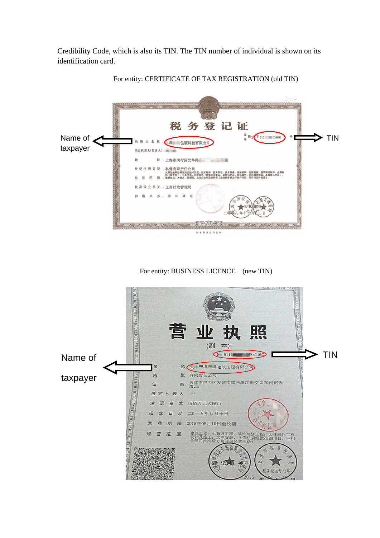Credibility Code, which is also its TIN. The TIN number of individual is shown on its identification card.



For entity: CERTIFICATE OF TAX REGISTRATION (old TIN)

For entity: BUSINESS LICENCE (new TIN)